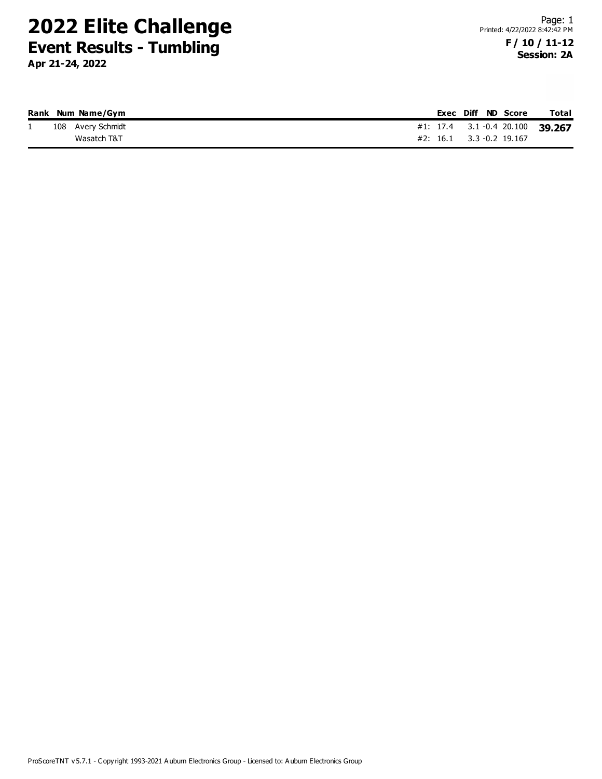|          | Rank Num Name/Gym |  |  | Exec Diff ND Score          | <b>Total</b>                    |
|----------|-------------------|--|--|-----------------------------|---------------------------------|
| <b>.</b> | 108 Avery Schmidt |  |  |                             | #1: 17.4 3.1 -0.4 20.100 39.267 |
|          | Wasatch T&T       |  |  | $#2$ : 16.1 3.3 -0.2 19.167 |                                 |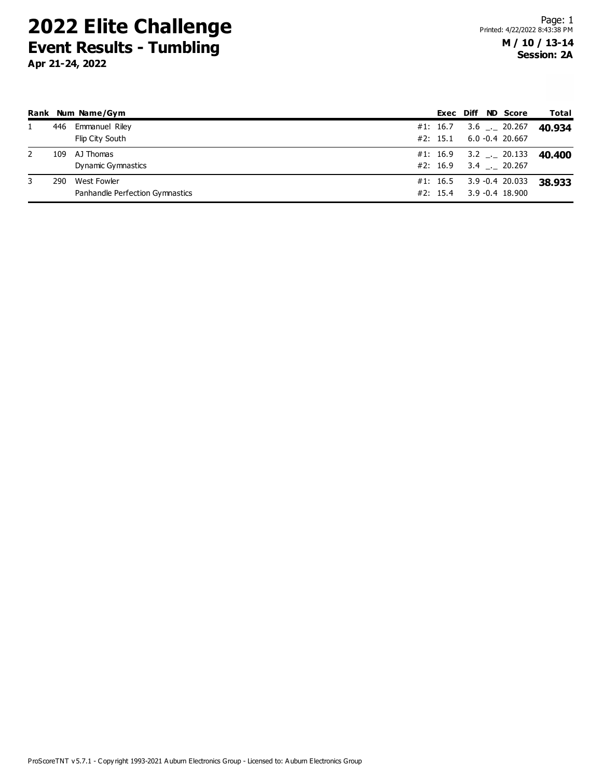|   |     | Rank Num Name/Gym               |          |  | Exec Diff ND Score | Total  |
|---|-----|---------------------------------|----------|--|--------------------|--------|
|   | 446 | <b>Emmanuel Riley</b>           | #1: 16.7 |  | $3.6$ _ 20.267     | 40.934 |
|   |     | Flip City South                 | #2: 15.1 |  | $6.0 - 0.4$ 20.667 |        |
|   | 109 | AJ Thomas                       | #1: 16.9 |  | $3.2$ _._ 20.133   | 40.400 |
|   |     | Dynamic Gymnastics              | #2: 16.9 |  | $3.4$ __ 20.267    |        |
| 3 | 290 | West Fowler                     | #1: 16.5 |  | 3.9 -0.4 20.033    | 38.933 |
|   |     | Panhandle Perfection Gymnastics | #2: 15.4 |  | $3.9 - 0.4$ 18.900 |        |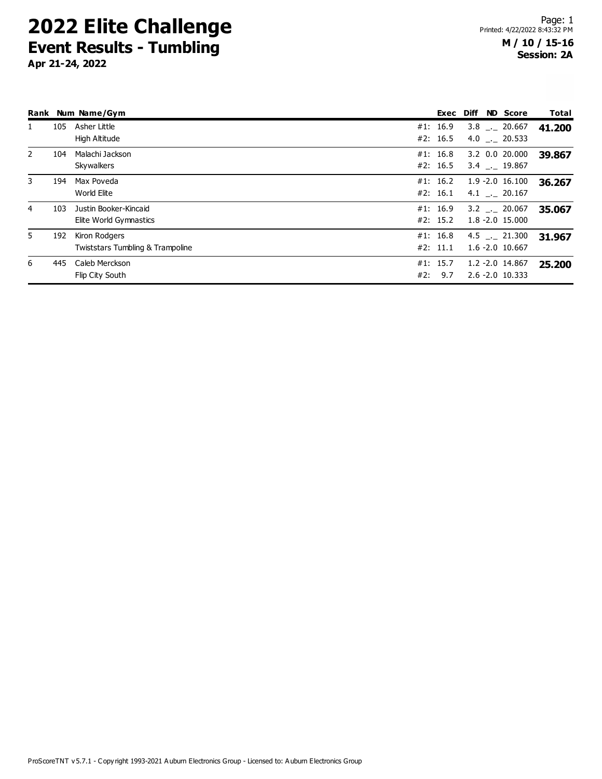|                |     | Rank Num Name/Gym                                 |     | Exec                 | <b>Diff</b> | <b>ND</b> Score                            | <b>Total</b> |
|----------------|-----|---------------------------------------------------|-----|----------------------|-------------|--------------------------------------------|--------------|
| 1              | 105 | Asher Little<br>High Altitude                     |     | #1: 16.9<br>#2: 16.5 |             | 3.8 . 20.667<br>4.0 $\_\_$ 20.533          | 41.200       |
| $\overline{2}$ | 104 | Malachi Jackson<br>Skywalkers                     | #1: | 16.8<br>#2: 16.5     |             | 3.2 0.0 20.000<br>3.4 . 19.867             | 39.867       |
| 3              | 194 | Max Poveda<br>World Elite                         |     | #1: 16.2<br>#2: 16.1 |             | $1.9 - 2.0$ 16.100<br>4.1 . 20.167         | 36.267       |
| 4              | 103 | Justin Booker-Kincaid<br>Elite World Gymnastics   |     | #1: 16.9<br>#2: 15.2 |             | $3.2$ $_{-}$ 20.067<br>$1.8 - 2.0$ 15.000  | 35.067       |
| 5.             | 192 | Kiron Rodgers<br>Twiststars Tumbling & Trampoline |     | #1: 16.8<br>#2: 11.1 |             | $4.5$ $_{-1}$ 21.300<br>$1.6 - 2.0$ 10.667 | 31.967       |
| 6              | 445 | Caleb Merckson<br>Flip City South                 | #2: | #1: 15.7<br>9.7      |             | $1.2 - 2.0$ 14.867<br>$2.6 - 2.0$ 10.333   | 25.200       |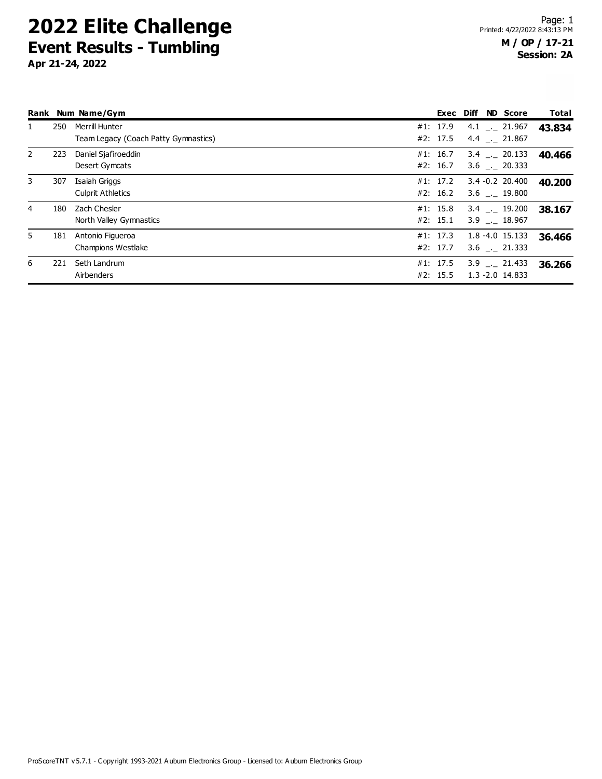|              |     | Rank Num Name/Gym                                      |                      | Exec Diff | <b>ND</b> Score                       | Total  |
|--------------|-----|--------------------------------------------------------|----------------------|-----------|---------------------------------------|--------|
| 1            | 250 | Merrill Hunter<br>Team Legacy (Coach Patty Gymnastics) | #1: 17.9<br>#2: 17.5 |           | $4.1$ $-21.967$<br>$4.4$ $-21.867$    | 43.834 |
| $\mathbf{2}$ | 223 | Daniel Sjafiroeddin<br>Desert Gymcats                  | #1: 16.7<br>#2: 16.7 |           | 3.4 . 20.133<br>$3.6$ $-20.333$       | 40.466 |
| 3            | 307 | Isaiah Griggs<br><b>Culprit Athletics</b>              | #1: 17.2<br>#2: 16.2 |           | $3.4 - 0.2$ 20.400<br>$3.6$ __ 19.800 | 40.200 |
| 4            | 180 | Zach Chesler<br>North Valley Gymnastics                | #1: 15.8<br>#2: 15.1 |           | 3.4 . 19.200<br>3.9 . 18.967          | 38.167 |
| 5            | 181 | Antonio Figueroa<br><b>Champions Westlake</b>          | #1: 17.3<br>#2: 17.7 |           | $1.8 - 4.0$ 15.133<br>3.6 . 21.333    | 36.466 |
| 6            | 221 | Seth Landrum<br>Airbenders                             | #1: 17.5<br>#2: 15.5 |           | $3.9$ $-21.433$<br>$1.3 - 2.0$ 14.833 | 36.266 |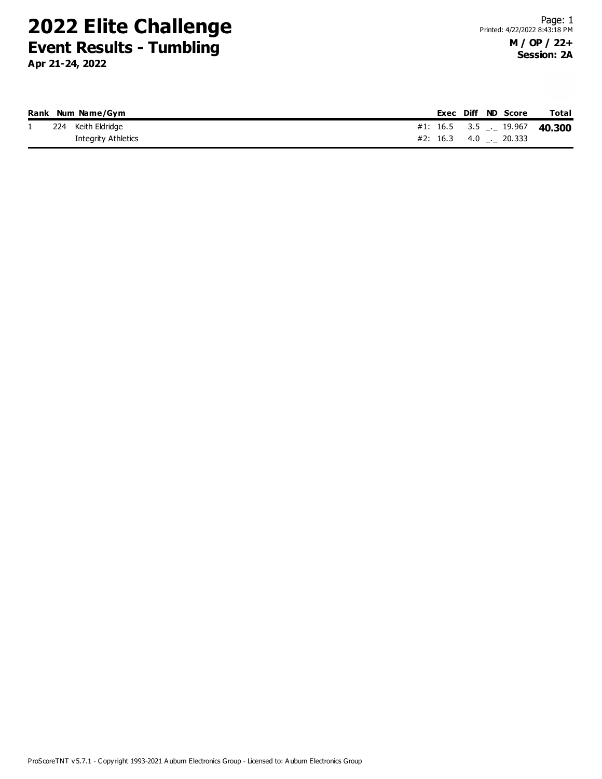|    | Rank Num Name/Gym   |  |  | Exec Diff ND Score  | <b>Total</b>                        |
|----|---------------------|--|--|---------------------|-------------------------------------|
| л. | 224 Keith Eldridge  |  |  |                     | #1: 16.5 3.5 $\ldots$ 19.967 40.300 |
|    | Integrity Athletics |  |  | #2: 16.3 4.0 20.333 |                                     |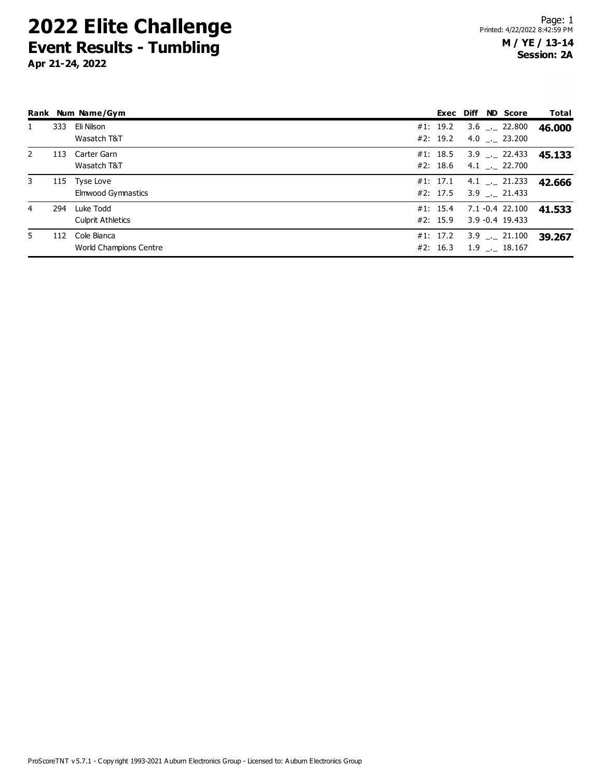|                |     | Rank Num Name/Gym                     |                      |  | Exec Diff ND Score                    | Total  |
|----------------|-----|---------------------------------------|----------------------|--|---------------------------------------|--------|
| 1              | 333 | Eli Nilson<br>Wasatch T&T             | #1: 19.2<br>#2: 19.2 |  | $3.6$ $_{-1}$ 22.800                  | 46.000 |
|                |     |                                       |                      |  | $4.0$ _. 23.200                       |        |
| 2              | 113 | Carter Garn<br>Wasatch T&T            | #1: 18.5<br>#2: 18.6 |  | $3.9$ $_{-1}$ 22.433<br>4.1 . 22.700  | 45.133 |
| 3              |     | 115 Tyse Love<br>Elmwood Gymnastics   | #1: 17.1<br>#2: 17.5 |  | $4.1$ $-21.233$<br>$3.9$ $-$ 21.433   | 42.666 |
| $\overline{4}$ | 294 | Luke Todd<br><b>Culprit Athletics</b> | #1: 15.4<br>#2: 15.9 |  | 7.1 -0.4 22.100<br>$3.9 - 0.4$ 19.433 | 41.533 |
| 5.             | 112 | Cole Bianca<br>World Champions Centre | #1: 17.2<br>#2: 16.3 |  | $3.9$ $_{-1}$ 21.100<br>1.9 . 18.167  | 39.267 |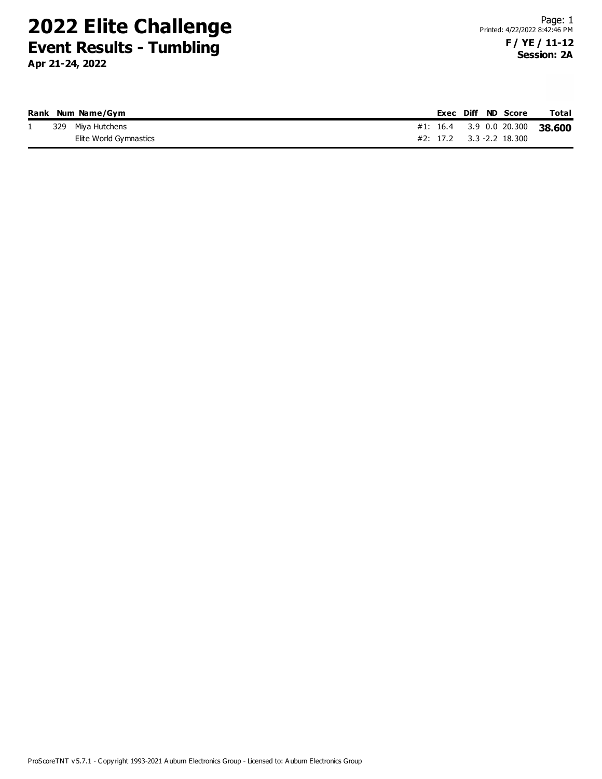|    | Rank Num Name/Gym      |  |  | Exec Diff ND Score       | Total                          |
|----|------------------------|--|--|--------------------------|--------------------------------|
| Τ. | 329 Miya Hutchens      |  |  |                          | #1: 16.4 3.9 0.0 20.300 38.600 |
|    | Elite World Gymnastics |  |  | #2: 17.2 3.3 -2.2 18.300 |                                |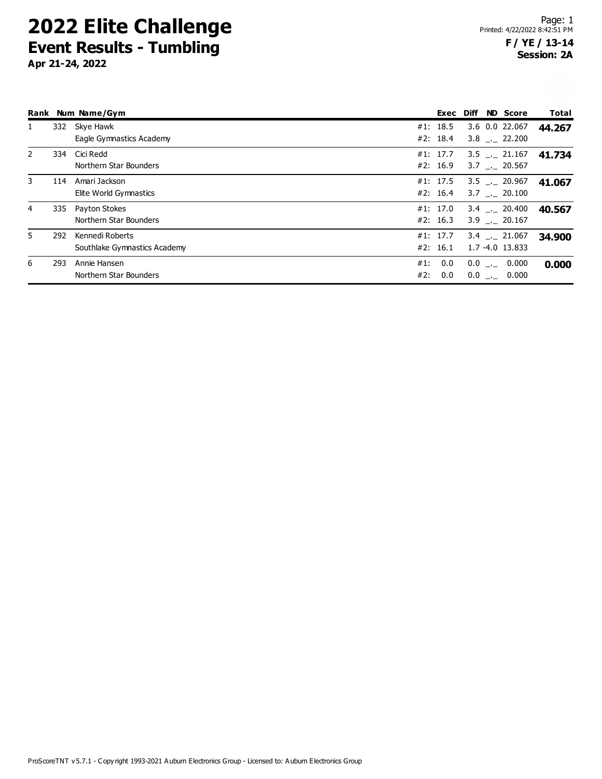|                |     | Rank Num Name/Gym                               |                          | Exec Diff | <b>ND Score</b>                       | Total  |
|----------------|-----|-------------------------------------------------|--------------------------|-----------|---------------------------------------|--------|
| 1              | 332 | Skye Hawk<br>Eagle Gymnastics Academy           | #1: 18.5<br>#2: 18.4     |           | 3.6 0.0 22.067<br>3.8 . 22.200        | 44.267 |
| 2              |     | 334 Cici Redd<br>Northern Star Bounders         | #1: 17.7<br>#2: 16.9     |           | $3.5$ $-$ 21.167<br>$3.7$ $-.$ 20.567 | 41.734 |
| 3              | 114 | Amari Jackson<br>Elite World Gymnastics         | #1: 17.5<br>#2: 16.4     |           | $3.5$ $-$ 20.967<br>3.7 . 20.100      | 41.067 |
| $\overline{4}$ |     | 335 Payton Stokes<br>Northern Star Bounders     | #1: 17.0<br>#2: 16.3     |           | 3.4 . 20.400<br>$3.9$ $_{-}$ 20.167   | 40.567 |
| 5.             | 292 | Kennedi Roberts<br>Southlake Gymnastics Academy | #1: 17.7<br>#2: 16.1     |           | 3.4 . 21.067<br>$1.7 - 4.0$ 13.833    | 34.900 |
| 6              | 293 | Annie Hansen<br>Northern Star Bounders          | 0.0<br>#1:<br>0.0<br>#2: |           | $0.0$ __ $0.000$<br>$0.0$ __ 0.000    | 0.000  |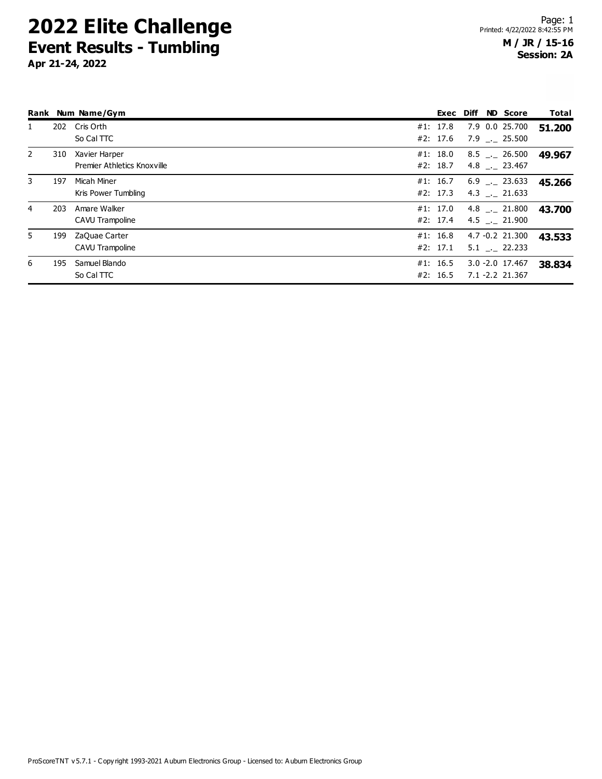|                |     | Rank Num Name/Gym                            | Exec                 | Diff | <b>ND Score</b>                           | <b>Total</b> |
|----------------|-----|----------------------------------------------|----------------------|------|-------------------------------------------|--------------|
| $\mathbf{1}$   | 202 | Cris Orth<br>So Cal TTC                      | #1: 17.8<br>#2: 17.6 |      | 7.9 0.0 25.700<br>7.9 . 25.500            | 51.200       |
| $\overline{2}$ | 310 | Xavier Harper<br>Premier Athletics Knoxville | #1: 18.0<br>#2: 18.7 |      | $8.5$ __ 26.500<br>$4.8$ $_{\sim}$ 23.467 | 49.967       |
| 3              | 197 | Micah Miner<br>Kris Power Tumbling           | #1: 16.7<br>#2: 17.3 |      | $6.9$ $-.$ 23.633<br>4.3 . 21.633         | 45.266       |
| 4              | 203 | Amare Walker<br>CAVU Trampoline              | #1: 17.0<br>#2: 17.4 |      | $4.8$ $_{-1}$ 21.800<br>4.5 . 21.900      | 43.700       |
| 5.             | 199 | ZaQuae Carter<br>CAVU Trampoline             | #1: 16.8<br>#2: 17.1 |      | 4.7 -0.2 21.300<br>$5.1$ $-22.233$        | 43.533       |
| 6              | 195 | Samuel Blando<br>So Cal TTC                  | #1: 16.5<br>#2: 16.5 |      | $3.0 - 2.0$ 17.467<br>7.1 -2.2 21.367     | 38,834       |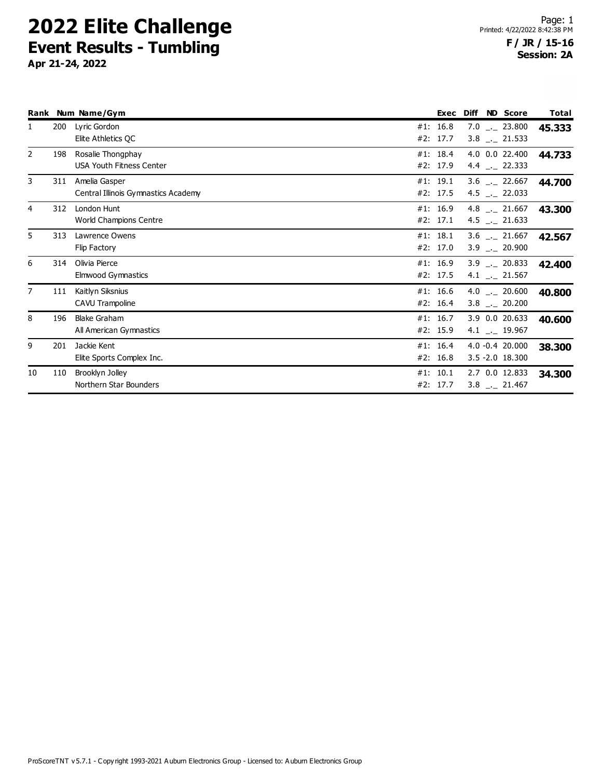|                |     | Rank Num Name/Gym                                    | Exec                   | <b>Diff</b> | <b>ND</b> Score                                 | Total  |
|----------------|-----|------------------------------------------------------|------------------------|-------------|-------------------------------------------------|--------|
| 1              | 200 | Lyric Gordon<br>Elite Athletics QC                   | #1: 16.8<br>#2: 17.7   |             | $7.0$ _._ 23.800<br>$3.8$ $_{-}$ 21.533         | 45.333 |
| $\overline{2}$ | 198 | Rosalie Thongphay<br><b>USA Youth Fitness Center</b> | #1: $18.4$<br>#2: 17.9 |             | 4.0 0.0 22.400<br>4.4 $\frac{1}{2}$ 22.333      | 44.733 |
| 3              | 311 | Amelia Gasper<br>Central Illinois Gymnastics Academy | #1: 19.1<br>#2: 17.5   |             | $3.6$ $-22.667$<br>4.5 $\_$ 22.033              | 44.700 |
| 4              | 312 | London Hunt<br>World Champions Centre                | #1: 16.9<br>#2: 17.1   |             | 4.8 $\_\_$ 21.667<br>4.5 $_{\leftarrow}$ 21.633 | 43.300 |
| 5              | 313 | Lawrence Owens<br>Flip Factory                       | #1: 18.1<br>#2: 17.0   |             | $3.6$ __ 21.667<br>$3.9$ $_{\leftarrow}$ 20.900 | 42.567 |
| 6              | 314 | Olivia Pierce<br>Elmwood Gymnastics                  | #1: 16.9<br>#2: 17.5   |             | $3.9$ $-.20.833$<br>4.1 $_{\leftarrow}$ 21.567  | 42.400 |
| $\overline{7}$ | 111 | Kaitlyn Siksnius<br>CAVU Trampoline                  | #1: 16.6<br>#2: 16.4   |             | 4.0 $\_$ 20.600<br>$3.8$ $_{\leftarrow}$ 20.200 | 40.800 |
| 8              | 196 | <b>Blake Graham</b><br>All American Gymnastics       | #1: 16.7<br>#2: 15.9   |             | 3.9 0.0 20.633<br>4.1 $_{\leftarrow}$ 19.967    | 40.600 |
| 9              | 201 | Jackie Kent<br>Elite Sports Complex Inc.             | #1: 16.4<br>#2: 16.8   |             | $4.0 -0.4$ 20.000<br>3.5 -2.0 18.300            | 38.300 |
| 10             | 110 | Brooklyn Jolley<br>Northern Star Bounders            | #1: 10.1<br>#2: 17.7   |             | 2.7 0.0 12.833<br>$3.8$ $_{-2}$ 21.467          | 34.300 |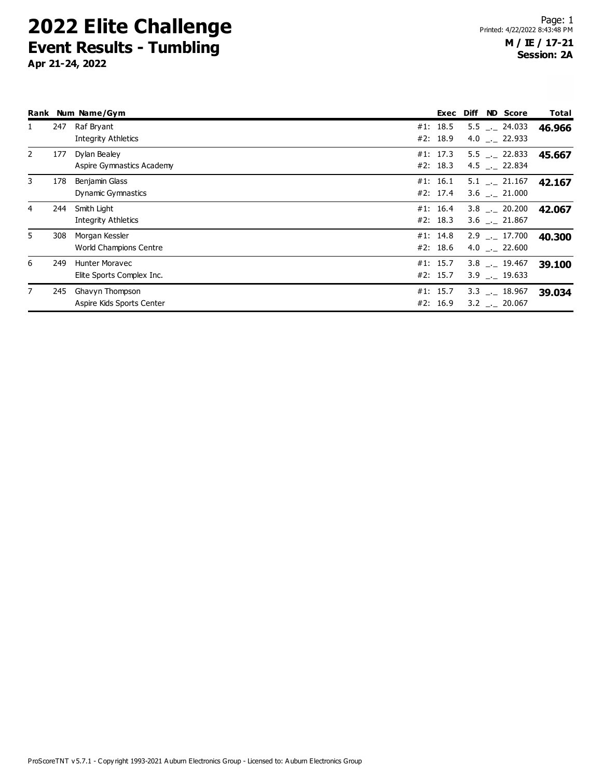|                |     | Rank Num Name/Gym                                  | Exec                 | <b>Diff</b> | <b>ND</b> Score                           | Total  |
|----------------|-----|----------------------------------------------------|----------------------|-------------|-------------------------------------------|--------|
| 1              | 247 | Raf Bryant<br><b>Integrity Athletics</b>           | #1: 18.5<br>#2: 18.9 |             | $5.5$ $-24.033$<br>$4.0$ $_{-1}$ 22.933   | 46.966 |
| $\overline{2}$ | 177 | Dylan Bealey<br>Aspire Gymnastics Academy          | #1: 17.3<br>#2: 18.3 |             | $5.5$ $-22.833$<br>4.5 $\_\_$ 22.834      | 45.667 |
| 3              | 178 | Benjamin Glass<br>Dynamic Gymnastics               | #1: 16.1<br>#2: 17.4 |             | $5.1$ $-$ 21.167<br>$3.6$ _. 21.000       | 42.167 |
| 4              | 244 | Smith Light<br>Integrity Athletics                 | #1: 16.4<br>#2: 18.3 |             | $3.8$ $_{\sim}$ 20.200<br>$3.6$ __ 21.867 | 42.067 |
| 5              | 308 | Morgan Kessler<br>World Champions Centre           | #1: 14.8<br>#2: 18.6 |             | $2.9$ $-17.700$<br>4.0 $\_$ 22.600        | 40.300 |
| 6              | 249 | <b>Hunter Moravec</b><br>Elite Sports Complex Inc. | #1: 15.7<br>#2: 15.7 |             | $3.8$ $_{\sim}$ 19.467<br>$3.9$ $-19.633$ | 39.100 |
| $\overline{7}$ | 245 | Ghavyn Thompson<br>Aspire Kids Sports Center       | #1: 15.7<br>#2: 16.9 |             | $3.3$ $-.$ 18.967<br>$3.2$ $_{-}$ 20.067  | 39.034 |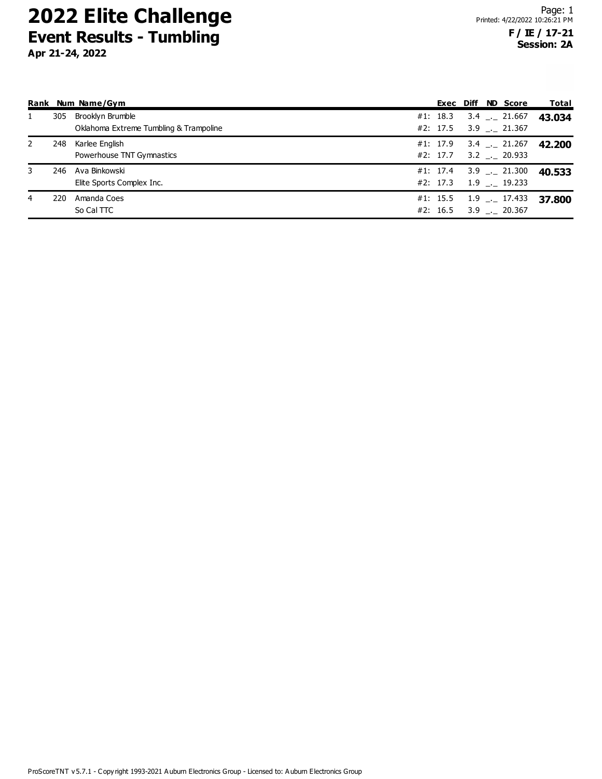|              |     | Rank Num Name/Gym                      |          |  | Exec Diff ND Score         | Total  |
|--------------|-----|----------------------------------------|----------|--|----------------------------|--------|
| $\mathbf{1}$ | 305 | Brooklyn Brumble                       | #1: 18.3 |  | $3.4$ _._ 21.667           | 43.034 |
|              |     | Oklahoma Extreme Tumbling & Trampoline |          |  | #2: 17.5 3.9 $\_\_$ 21.367 |        |
| 2            | 248 | Karlee English                         | #1: 17.9 |  | $3.4$ _ 21.267             | 42.200 |
|              |     | Powerhouse TNT Gymnastics              | #2: 17.7 |  | $3.2$ $-.$ 20.933          |        |
| 3            | 246 | Ava Binkowski                          |          |  | #1: 17.4 3.9 $\_\_$ 21.300 | 40.533 |
|              |     | Elite Sports Complex Inc.              |          |  | #2: 17.3 $1.9$ $-.$ 19.233 |        |
| 4            | 220 | Amanda Coes                            | #1: 15.5 |  | 1.9 <sub>__</sub> 17.433   | 37.800 |
|              |     | So Cal TTC                             |          |  | #2: 16.5 3.9 . 20.367      |        |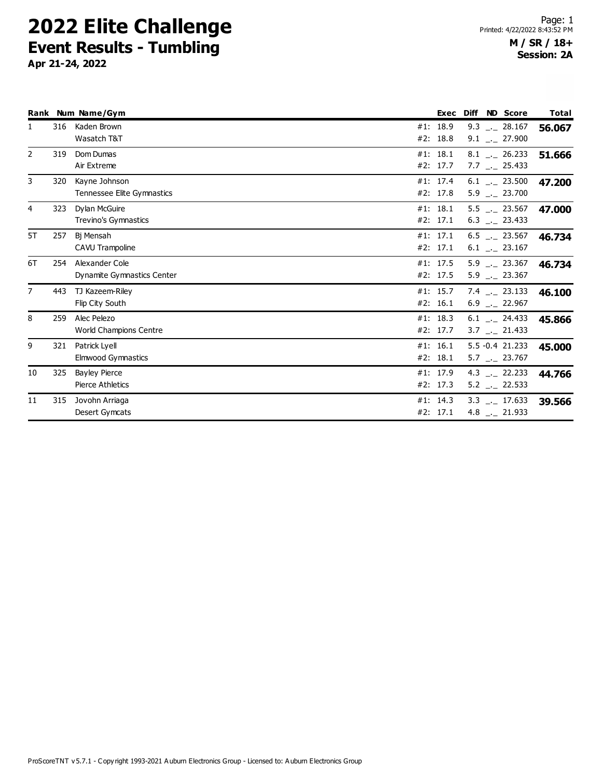|                |     | Rank Num Name/Gym                            | Exec                 | <b>Diff</b> | <b>ND Score</b>                                | Total  |
|----------------|-----|----------------------------------------------|----------------------|-------------|------------------------------------------------|--------|
| $\mathbf{1}$   | 316 | Kaden Brown<br>Wasatch T&T                   | #1: 18.9<br>#2: 18.8 |             | $9.3$ _. 28.167<br>$9.1$ $-$ 27.900            | 56.067 |
| 2              | 319 | Dom Dumas<br>Air Extreme                     | #1: 18.1<br>#2: 17.7 |             | $8.1$ $-.$ 26.233<br>$7.7$ $-25.433$           | 51.666 |
| 3              | 320 | Kayne Johnson<br>Tennessee Elite Gymnastics  | #1: 17.4<br>#2: 17.8 |             | $6.1$ __ 23.500<br>$5.9$ $_{-1}$ 23.700        | 47.200 |
| 4              | 323 | Dylan McGuire<br>Trevino's Gymnastics        | #1: 18.1<br>#2: 17.1 |             | $5.5$ __ 23.567<br>$6.3$ $_{\text{-}}$ 23.433  | 47.000 |
| 5T             | 257 | Bi Mensah<br>CAVU Trampoline                 | #1: 17.1<br>#2: 17.1 |             | $6.5$ $-23.567$<br>$6.1$ __ 23.167             | 46.734 |
| 6T             | 254 | Alexander Cole<br>Dynamite Gymnastics Center | #1: 17.5<br>#2: 17.5 |             | $5.9$ $-.23.367$<br>$5.9$ $-23.367$            | 46.734 |
| $\overline{7}$ | 443 | TJ Kazeem-Riley<br>Flip City South           | #1: 15.7<br>#2: 16.1 |             | 7.4 $-$ 23.133<br>$6.9$ $_{\leftarrow}$ 22.967 | 46.100 |
| 8              | 259 | Alec Pelezo<br><b>World Champions Centre</b> | #1: 18.3<br>#2: 17.7 |             | $6.1$ $_{-}$ 24.433<br>$3.7$ $_{-}$ 21.433     | 45.866 |
| 9              | 321 | Patrick Lyell<br><b>Elmwood Gymnastics</b>   | #1: 16.1<br>#2: 18.1 |             | 5.5 - 0.4 21.233<br>$5.7$ $-23.767$            | 45.000 |
| 10             | 325 | <b>Bayley Pierce</b><br>Pierce Athletics     | #1: 17.9<br>#2: 17.3 |             | 4.3 $-22.233$<br>$5.2$ $_{-}$ 22.533           | 44.766 |
| 11             | 315 | Jovohn Arriaga<br>Desert Gymcats             | #1: 14.3<br>#2: 17.1 |             | $3.3$ $_{\sim}$ 17.633<br>4.8 $- 21.933$       | 39.566 |